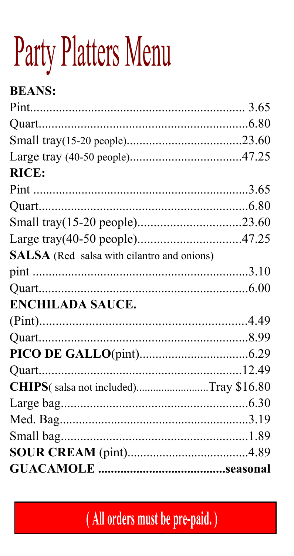# Party Platters Menu

| <b>RICE:</b><br><b>SALSA</b> (Red salsa with cilantro and onions)<br>Quart<br><b>ENCHILADA SAUCE.</b><br>CHIPS(salsa not included)Tray \$16.80 | <b>BEANS:</b> |  |
|------------------------------------------------------------------------------------------------------------------------------------------------|---------------|--|
|                                                                                                                                                |               |  |
|                                                                                                                                                |               |  |
|                                                                                                                                                |               |  |
|                                                                                                                                                |               |  |
|                                                                                                                                                |               |  |
|                                                                                                                                                |               |  |
|                                                                                                                                                |               |  |
|                                                                                                                                                |               |  |
|                                                                                                                                                |               |  |
|                                                                                                                                                |               |  |
|                                                                                                                                                |               |  |
|                                                                                                                                                |               |  |
|                                                                                                                                                |               |  |
|                                                                                                                                                |               |  |
|                                                                                                                                                |               |  |
|                                                                                                                                                |               |  |
|                                                                                                                                                |               |  |
|                                                                                                                                                |               |  |
|                                                                                                                                                |               |  |
|                                                                                                                                                |               |  |
|                                                                                                                                                |               |  |
|                                                                                                                                                |               |  |
|                                                                                                                                                |               |  |

(All orders must be pre-paid.)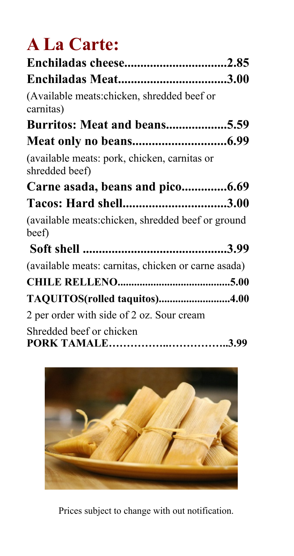# **A La Carte:**

| Enchiladas Meat3.00                                            |
|----------------------------------------------------------------|
| (Available meats:chicken, shredded beef or<br>carnitas)        |
| Burritos: Meat and beans5.59                                   |
|                                                                |
| (available meats: pork, chicken, carnitas or<br>shredded beef) |
| Carne asada, beans and pico6.69                                |
| Tacos: Hard shell3.00                                          |
| (available meats: chicken, shredded beef or ground<br>beef)    |
|                                                                |
| (available meats: carnitas, chicken or carne asada)            |
|                                                                |
| TAQUITOS(rolled taquitos)4.00                                  |
| 2 per order with side of 2 oz. Sour cream                      |
| Shredded beef or chicken                                       |



Prices subject to change with out notification.